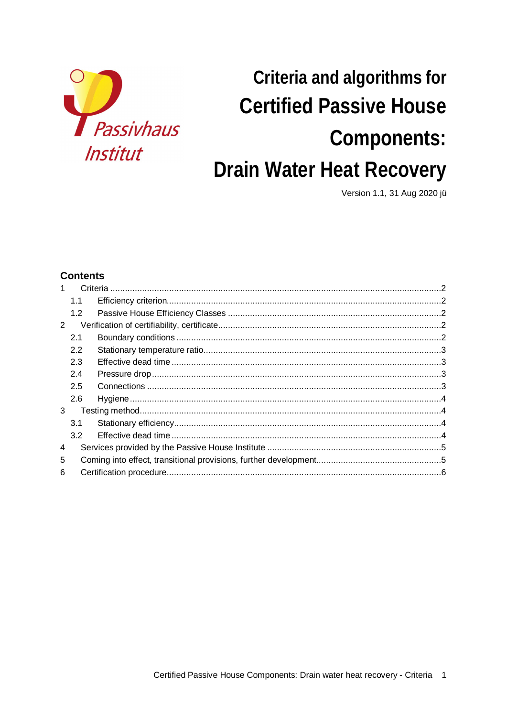

# Criteria and algorithms for **Certified Passive House** Components: Drain Water Heat Recovery

Version 1.1, 31 Aug 2020 jü

# **Contents**

| 1.1 |  |
|-----|--|
| 1.2 |  |
|     |  |
| 2.1 |  |
| 2.2 |  |
| 2.3 |  |
| 2.4 |  |
| 2.5 |  |
| 2.6 |  |
|     |  |
| 3.1 |  |
| 3.2 |  |
|     |  |
|     |  |
|     |  |
| 3   |  |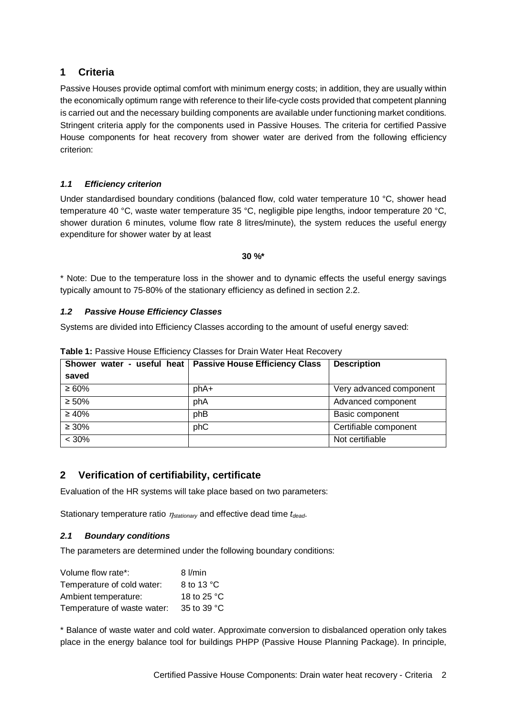# **1 Criteria**

Passive Houses provide optimal comfort with minimum energy costs; in addition, they are usually within the economically optimum range with reference to their life-cycle costs provided that competent planning is carried out and the necessary building components are available under functioning market conditions. Stringent criteria apply for the components used in Passive Houses. The criteria for certified Passive House components for heat recovery from shower water are derived from the following efficiency criterion:

## *1.1 Efficiency criterion*

Under standardised boundary conditions (balanced flow, cold water temperature 10 °C, shower head temperature 40 °C, waste water temperature 35 °C, negligible pipe lengths, indoor temperature 20 °C, shower duration 6 minutes, volume flow rate 8 litres/minute), the system reduces the useful energy expenditure for shower water by at least

#### **30 %\***

\* Note: Due to the temperature loss in the shower and to dynamic effects the useful energy savings typically amount to 75-80% of the stationary efficiency as defined in section 2.2.

## *1.2 Passive House Efficiency Classes*

Systems are divided into Efficiency Classes according to the amount of useful energy saved:

| saved       | Shower water - useful heat   Passive House Efficiency Class | <b>Description</b>      |
|-------------|-------------------------------------------------------------|-------------------------|
|             |                                                             |                         |
| $\geq 60\%$ | phA+                                                        | Very advanced component |
| $\geq 50\%$ | phA                                                         | Advanced component      |
| $\geq 40\%$ | phB                                                         | Basic component         |
| $\geq 30\%$ | phC                                                         | Certifiable component   |
| $< 30\%$    |                                                             | Not certifiable         |

**Table 1:** Passive House Efficiency Classes for Drain Water Heat Recovery

# **2 Verification of certifiability, certificate**

Evaluation of the HR systems will take place based on two parameters:

Stationary temperature ratio  $\eta_{stat}$  and effective dead time *t<sub>dead</sub>*.

## *2.1 Boundary conditions*

The parameters are determined under the following boundary conditions:

| Volume flow rate*:          | 8 l/min     |  |
|-----------------------------|-------------|--|
| Temperature of cold water:  | 8 to 13 °C  |  |
| Ambient temperature:        | 18 to 25 °C |  |
| Temperature of waste water: | 35 to 39 °C |  |

\* Balance of waste water and cold water. Approximate conversion to disbalanced operation only takes place in the energy balance tool for buildings PHPP (Passive House Planning Package). In principle,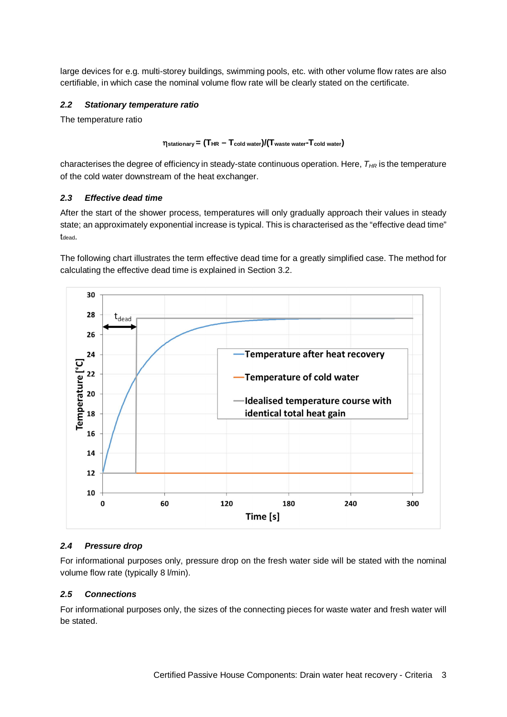large devices for e.g. multi-storey buildings, swimming pools, etc. with other volume flow rates are also certifiable, in which case the nominal volume flow rate will be clearly stated on the certificate.

#### *2.2 Stationary temperature ratio*

The temperature ratio

## h**stationary= (THR – Tcold water)/(Twaste water-Tcold water)**

characterises the degree of efficiency in steady-state continuous operation. Here, *THR* is the temperature of the cold water downstream of the heat exchanger.

#### *2.3 Effective dead time*

After the start of the shower process, temperatures will only gradually approach their values in steady state; an approximately exponential increase is typical. This is characterised as the "effective dead time" t<sub>dead</sub>.

The following chart illustrates the term effective dead time for a greatly simplified case. The method for calculating the effective dead time is explained in Section 3.2.



## *2.4 Pressure drop*

For informational purposes only, pressure drop on the fresh water side will be stated with the nominal volume flow rate (typically 8 l/min).

#### *2.5 Connections*

For informational purposes only, the sizes of the connecting pieces for waste water and fresh water will be stated.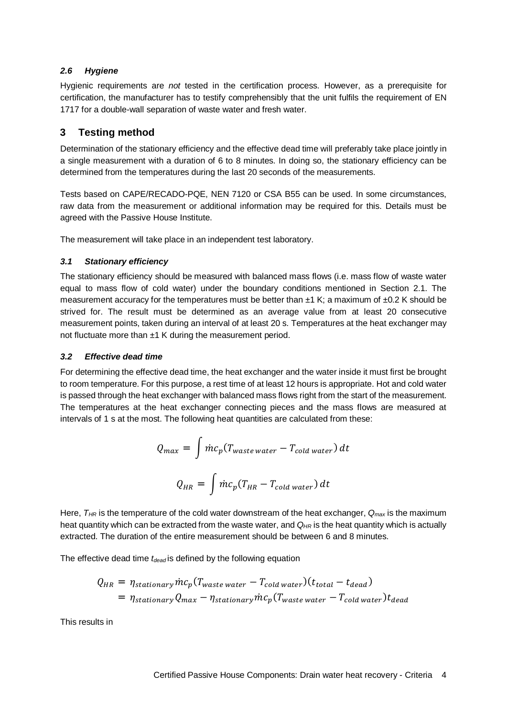#### *2.6 Hygiene*

Hygienic requirements are *not* tested in the certification process. However, as a prerequisite for certification, the manufacturer has to testify comprehensibly that the unit fulfils the requirement of EN 1717 for a double-wall separation of waste water and fresh water.

# **3 Testing method**

Determination of the stationary efficiency and the effective dead time will preferably take place jointly in a single measurement with a duration of 6 to 8 minutes. In doing so, the stationary efficiency can be determined from the temperatures during the last 20 seconds of the measurements.

Tests based on CAPE/RECADO-PQE, NEN 7120 or CSA B55 can be used. In some circumstances, raw data from the measurement or additional information may be required for this. Details must be agreed with the Passive House Institute.

The measurement will take place in an independent test laboratory.

## *3.1 Stationary efficiency*

The stationary efficiency should be measured with balanced mass flows (i.e. mass flow of waste water equal to mass flow of cold water) under the boundary conditions mentioned in Section 2.1. The measurement accuracy for the temperatures must be better than  $\pm 1$  K; a maximum of  $\pm 0.2$  K should be strived for. The result must be determined as an average value from at least 20 consecutive measurement points, taken during an interval of at least 20 s. Temperatures at the heat exchanger may not fluctuate more than  $\pm 1$  K during the measurement period.

#### *3.2 Effective dead time*

For determining the effective dead time, the heat exchanger and the water inside it must first be brought to room temperature. For this purpose, a rest time of at least 12 hours is appropriate. Hot and cold water is passed through the heat exchanger with balanced mass flows right from the start of the measurement. The temperatures at the heat exchanger connecting pieces and the mass flows are measured at intervals of 1 s at the most. The following heat quantities are calculated from these:

$$
Q_{max} = \int \dot{m}c_p (T_{waste\ water} - T_{cold\ water}) dt
$$

$$
Q_{HR} = \int \dot{m}c_p (T_{HR} - T_{cold\ water}) dt
$$

Here, *THR* is the temperature of the cold water downstream of the heat exchanger, *Qmax* is the maximum heat quantity which can be extracted from the waste water, and  $Q_{HR}$  is the heat quantity which is actually extracted. The duration of the entire measurement should be between 6 and 8 minutes.

The effective dead time *tdead* is defined by the following equation

$$
Q_{HR} = \eta_{stationary} \dot{m} c_p (T_{waste\ water} - T_{cold\ water}) (t_{total} - t_{dead})
$$
  
=  $\eta_{stationary} Q_{max} - \eta_{stationary} \dot{m} c_p (T_{waste\ water} - T_{cold\ water}) t_{dead}$ 

This results in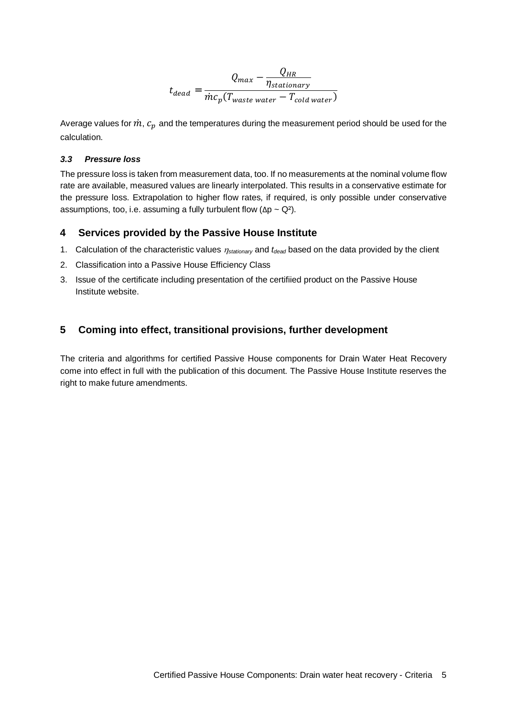$$
t_{dead} = \frac{Q_{HR}}{\dot{m}c_p(T_{waste\ water} - T_{cold\ water})}
$$

Average values for  $\dot{m}$ ,  $c_p$  and the temperatures during the measurement period should be used for the calculation.

#### *3.3 Pressure loss*

The pressure loss is taken from measurement data, too. If no measurements at the nominal volume flow rate are available, measured values are linearly interpolated. This results in a conservative estimate for the pressure loss. Extrapolation to higher flow rates, if required, is only possible under conservative assumptions, too, i.e. assuming a fully turbulent flow ( $\Delta p \sim Q^2$ ).

#### **4 Services provided by the Passive House Institute**

- 1. Calculation of the characteristic values  $\eta_{stationary}$  and  $t_{dead}$  based on the data provided by the client
- 2. Classification into a Passive House Efficiency Class
- 3. Issue of the certificate including presentation of the certifiied product on the Passive House Institute website.

## **5 Coming into effect, transitional provisions, further development**

The criteria and algorithms for certified Passive House components for Drain Water Heat Recovery come into effect in full with the publication of this document. The Passive House Institute reserves the right to make future amendments.